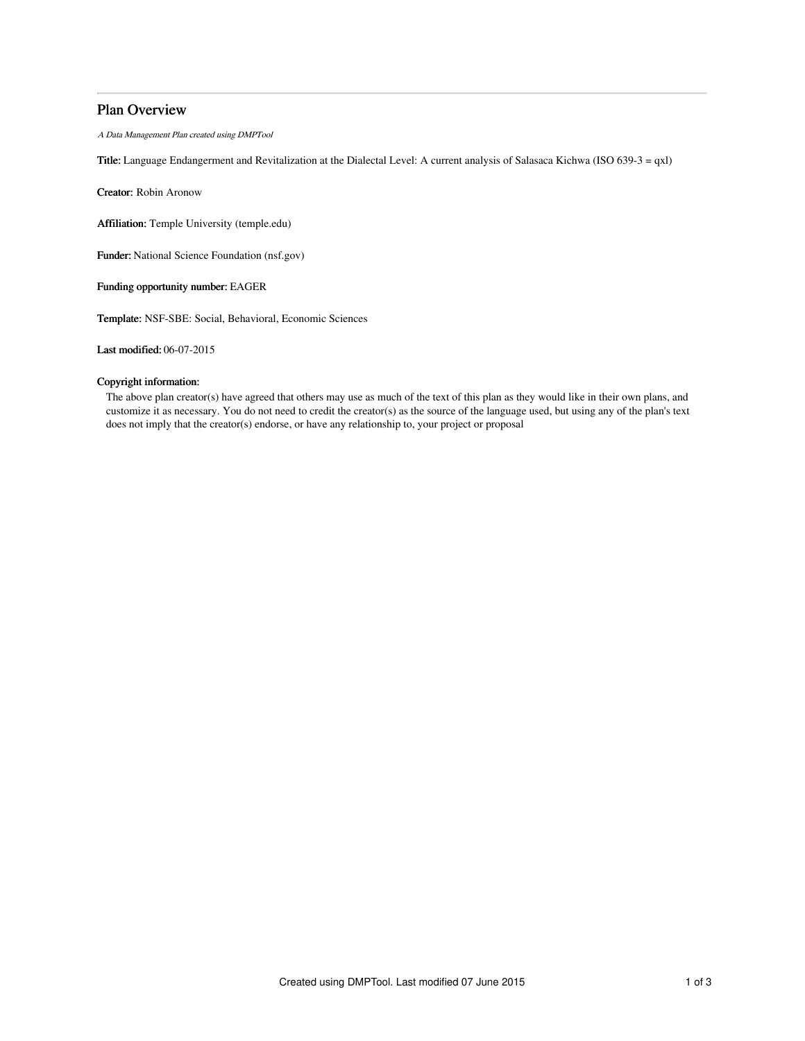# Plan Overview

A Data Management Plan created using DMPTool

Title: Language Endangerment and Revitalization at the Dialectal Level: A current analysis of Salasaca Kichwa (ISO 639-3 = qxl)

Creator: Robin Aronow

Affiliation: Temple University (temple.edu)

Funder: National Science Foundation (nsf.gov)

Funding opportunity number: EAGER

Template: NSF-SBE: Social, Behavioral, Economic Sciences

Last modified: 06-07-2015

## Copyright information:

The above plan creator(s) have agreed that others may use as much of the text of this plan as they would like in their own plans, and customize it as necessary. You do not need to credit the creator(s) as the source of the language used, but using any of the plan's text does not imply that the creator(s) endorse, or have any relationship to, your project or proposal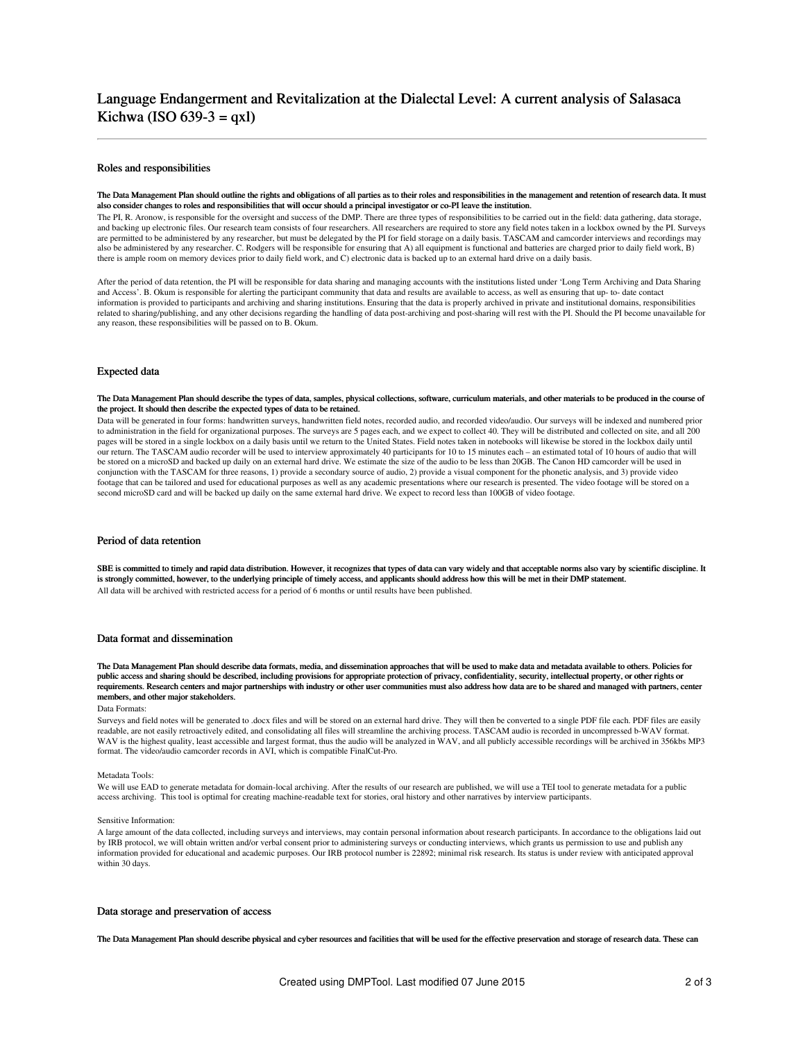# Language Endangerment and Revitalization at the Dialectal Level: A current analysis of Salasaca Kichwa (ISO 639-3  $=$  qxl)

## Roles and responsibilities

#### The Data Management Plan should outline the rights and obligations of all parties as to their roles and responsibilities in the management and retention of research data. It must also consider changes to roles and responsibilities that will occur should a principal investigator or co-PI leave the institution.

The PI, R. Aronow, is responsible for the oversight and success of the DMP. There are three types of responsibilities to be carried out in the field: data gathering, data storage, and backing up electronic files. Our research team consists of four researchers. All researchers are required to store any field notes taken in a lockbox owned by the PI. Surveys are permitted to be administered by any researcher, but must be delegated by the PI for field storage on a daily basis. TASCAM and camcorder interviews and recordings may also be administered by any researcher. C. Rodgers will be responsible for ensuring that A) all equipment is functional and batteries are charged prior to daily field work, B) there is ample room on memory devices prior to daily field work, and C) electronic data is backed up to an external hard drive on a daily basis.

After the period of data retention, the PI will be responsible for data sharing and managing accounts with the institutions listed under 'Long Term Archiving and Data Sharing and Access'. B. Okum is responsible for alerting the participant community that data and results are available to access, as well as ensuring that up- to- date contact information is provided to participants and archiving and sharing institutions. Ensuring that the data is properly archived in private and institutional domains, responsibilities related to sharing/publishing, and any other decisions regarding the handling of data post-archiving and post-sharing will rest with the PI. Should the PI become unavailable for any reason, these responsibilities will be passed on to B. Okum.

### Expected data

#### The Data Management Plan should describe the types of data, samples, physical collections, software, curriculum materials, and other materials to be produced in the course of the project. It should then describe the expected types of data to be retained.

Data will be generated in four forms: handwritten surveys, handwritten field notes, recorded audio, and recorded video/audio. Our surveys will be indexed and numbered prior to administration in the field for organizational purposes. The surveys are 5 pages each, and we expect to collect 40. They will be distributed and collected on site, and all 200 pages will be stored in a single lockbox on a daily basis until we return to the United States. Field notes taken in notebooks will likewise be stored in the lockbox daily until our return. The TASCAM audio recorder will be used to interview approximately 40 participants for 10 to 15 minutes each – an estimated total of 10 hours of audio that will be stored on a microSD and backed up daily on an external hard drive. We estimate the size of the audio to be less than 20GB. The Canon HD camcorder will be used in conjunction with the TASCAM for three reasons, 1) provide a secondary source of audio, 2) provide a visual component for the phonetic analysis, and 3) provide video footage that can be tailored and used for educational purposes as well as any academic presentations where our research is presented. The video footage will be stored on a second microSD card and will be backed up daily on the same external hard drive. We expect to record less than 100GB of video footage.

## Period of data retention

SBE is committed to timely and rapid data distribution. However, it recognizes that types of data can vary widely and that acceptable norms also vary by scientific discipline. It is strongly committed, however, to the underlying principle of timely access, and applicants should address how this will be met in their DMP statement All data will be archived with restricted access for a period of 6 months or until results have been published.

#### Data format and dissemination

The Data Management Plan should describe data formats, media, and dissemination approaches that will be used to make data and metadata available to others. Policies for public access and sharing should be described, including provisions for appropriate protection of privacy, confidentiality, security, intellectual property, or other rights or requirements. Research centers and major partnerships with industry or other user communities must also address how data are to be shared and managed with partners, center members, and other major stakeholders.

## Data Formats:

Surveys and field notes will be generated to .docx files and will be stored on an external hard drive. They will then be converted to a single PDF file each. PDF files are easily readable, are not easily retroactively edited, and consolidating all files will streamline the archiving process. TASCAM audio is recorded in uncompressed b-WAV format. WAV is the highest quality, least accessible and largest format, thus the audio will be analyzed in WAV, and all publicly accessible recordings will be archived in 356kbs MP3 format. The video/audio camcorder records in AVI, which is compatible FinalCut-Pro.

#### Metadata Tools:

We will use EAD to generate metadata for domain-local archiving. After the results of our research are published, we will use a TEI tool to generate metadata for a public access archiving. This tool is optimal for creating machine-readable text for stories, oral history and other narratives by interview participants.

#### Sensitive Information:

A large amount of the data collected, including surveys and interviews, may contain personal information about research participants. In accordance to the obligations laid out by IRB protocol, we will obtain written and/or verbal consent prior to administering surveys or conducting interviews, which grants us permission to use and publish any information provided for educational and academic purposes. Our IRB protocol number is 22892; minimal risk research. Its status is under review with anticipated approval within 30 days.

## Data storage and preservation of access

The Data Management Plan should describe physical and cyber resources and facilities that will be used for the effective preservation and storage of research data. These can